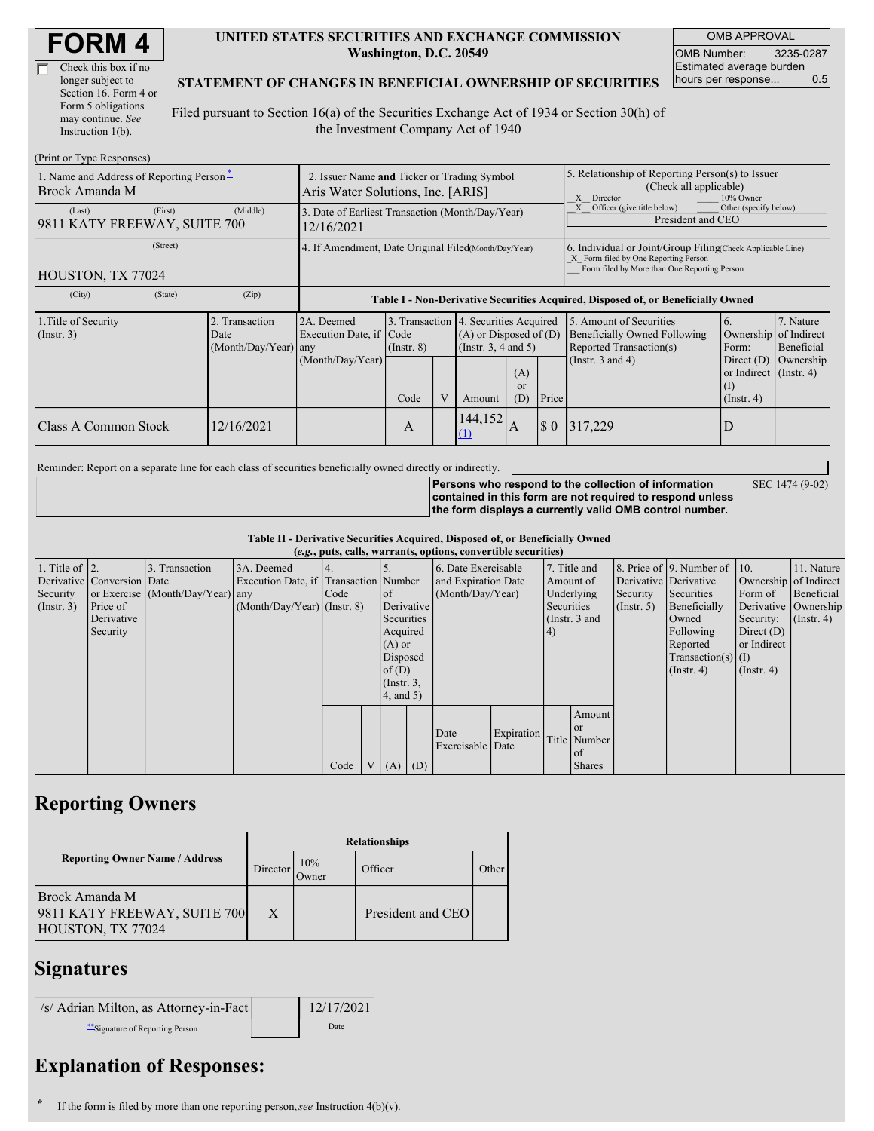| <b>FORM4</b> |
|--------------|
|--------------|

| Check this box if no  |  |
|-----------------------|--|
| longer subject to     |  |
| Section 16. Form 4 or |  |
| Form 5 obligations    |  |
| may continue. See     |  |
| Instruction 1(b).     |  |

#### **UNITED STATES SECURITIES AND EXCHANGE COMMISSION Washington, D.C. 20549**

OMB APPROVAL OMB Number: 3235-0287 Estimated average burden hours per response... 0.5

### **STATEMENT OF CHANGES IN BENEFICIAL OWNERSHIP OF SECURITIES**

Filed pursuant to Section 16(a) of the Securities Exchange Act of 1934 or Section 30(h) of the Investment Company Act of 1940

| (Print or Type Responses)                                  |                                                                                  |                                                |                                                                                  |                 |   |                                                                                                          |                                                                                                                                                    |                             |                                                                                                                    |                                                                                             |                                      |  |
|------------------------------------------------------------|----------------------------------------------------------------------------------|------------------------------------------------|----------------------------------------------------------------------------------|-----------------|---|----------------------------------------------------------------------------------------------------------|----------------------------------------------------------------------------------------------------------------------------------------------------|-----------------------------|--------------------------------------------------------------------------------------------------------------------|---------------------------------------------------------------------------------------------|--------------------------------------|--|
| 1. Name and Address of Reporting Person*<br>Brock Amanda M | 2. Issuer Name and Ticker or Trading Symbol<br>Aris Water Solutions, Inc. [ARIS] |                                                |                                                                                  |                 |   |                                                                                                          | 5. Relationship of Reporting Person(s) to Issuer<br>(Check all applicable)<br>X Director<br>10% Owner                                              |                             |                                                                                                                    |                                                                                             |                                      |  |
| (Last)<br>9811 KATY FREEWAY, SUITE 700                     | (First)                                                                          | (Middle)                                       | 3. Date of Earliest Transaction (Month/Day/Year)<br>12/16/2021                   |                 |   |                                                                                                          |                                                                                                                                                    |                             | Officer (give title below)<br>Other (specify below)<br>President and CEO                                           |                                                                                             |                                      |  |
| HOUSTON, TX 77024                                          | 4. If Amendment, Date Original Filed(Month/Day/Year)                             |                                                |                                                                                  |                 |   |                                                                                                          | 6. Individual or Joint/Group Filing Check Applicable Line)<br>X Form filed by One Reporting Person<br>Form filed by More than One Reporting Person |                             |                                                                                                                    |                                                                                             |                                      |  |
| (City)                                                     | (State)                                                                          | (Zip)                                          | Table I - Non-Derivative Securities Acquired, Disposed of, or Beneficially Owned |                 |   |                                                                                                          |                                                                                                                                                    |                             |                                                                                                                    |                                                                                             |                                      |  |
| 1. Title of Security<br>$($ Instr. 3 $)$                   |                                                                                  | 2. Transaction<br>Date<br>(Month/Day/Year) any | 2A. Deemed<br>Execution Date, if Code<br>(Month/Day/Year)                        | $($ Instr. $8)$ |   | 3. Transaction 4. Securities Acquired<br>$(A)$ or Disposed of $(D)$<br>(Insert. 3, 4 and 5)<br>(A)<br>or |                                                                                                                                                    |                             | 5. Amount of Securities<br><b>Beneficially Owned Following</b><br>Reported Transaction(s)<br>(Instr. $3$ and $4$ ) | 6.<br>Ownership of Indirect<br>Form:<br>Direct $(D)$<br>or Indirect $($ Instr. 4 $)$<br>(I) | 7. Nature<br>Beneficial<br>Ownership |  |
|                                                            |                                                                                  |                                                |                                                                                  | Code            | V | Amount                                                                                                   | (D)                                                                                                                                                | Price                       |                                                                                                                    | $($ Instr. 4 $)$                                                                            |                                      |  |
| Class A Common Stock                                       |                                                                                  | 12/16/2021                                     |                                                                                  | A               |   | 144,152<br>$\Omega$                                                                                      | A                                                                                                                                                  | $\boldsymbol{\mathsf{S}}$ 0 | 317.229                                                                                                            | D                                                                                           |                                      |  |

Reminder: Report on a separate line for each class of securities beneficially owned directly or indirectly.

SEC 1474 (9-02)

**Persons who respond to the collection of information contained in this form are not required to respond unless the form displays a currently valid OMB control number.**

**Table II - Derivative Securities Acquired, Disposed of, or Beneficially Owned**

| (e.g., puts, calls, warrants, options, convertible securities) |                            |                                  |                                       |      |                 |                 |            |                     |            |            |               |                  |                              |                       |                      |
|----------------------------------------------------------------|----------------------------|----------------------------------|---------------------------------------|------|-----------------|-----------------|------------|---------------------|------------|------------|---------------|------------------|------------------------------|-----------------------|----------------------|
| 1. Title of $\vert$ 2.                                         |                            | 3. Transaction                   | 3A. Deemed                            |      |                 |                 |            | 6. Date Exercisable |            |            | 7. Title and  |                  | 8. Price of 9. Number of 10. |                       | 11. Nature           |
|                                                                | Derivative Conversion Date |                                  | Execution Date, if Transaction Number |      |                 |                 |            | and Expiration Date |            | Amount of  |               |                  | Derivative Derivative        | Ownership of Indirect |                      |
| Security                                                       |                            | or Exercise (Month/Day/Year) any |                                       | Code |                 | $\circ$ f       |            | (Month/Day/Year)    |            | Underlying |               | Security         | Securities                   | Form of               | Beneficial           |
| (Insert. 3)                                                    | Price of                   |                                  | $(Month/Day/Year)$ (Instr. 8)         |      |                 |                 | Derivative |                     |            | Securities |               | $($ Instr. 5 $)$ | Beneficially                 |                       | Derivative Ownership |
|                                                                | Derivative                 |                                  |                                       |      |                 | Securities      |            |                     |            |            | (Instr. 3 and |                  | Owned                        | Security:             | $($ Instr. 4 $)$     |
|                                                                | Security                   |                                  |                                       |      |                 | Acquired        |            |                     |            | (4)        |               |                  | Following                    | Direct $(D)$          |                      |
|                                                                |                            |                                  |                                       |      |                 | $(A)$ or        |            |                     |            |            |               |                  | Reported                     | or Indirect           |                      |
|                                                                |                            |                                  |                                       |      |                 | Disposed        |            |                     |            |            |               |                  | $Transaction(s)$ (I)         |                       |                      |
|                                                                |                            |                                  |                                       |      |                 | of $(D)$        |            |                     |            |            |               |                  | $($ Instr. 4)                | $($ Instr. 4 $)$      |                      |
|                                                                |                            |                                  |                                       |      |                 | $($ Instr. $3,$ |            |                     |            |            |               |                  |                              |                       |                      |
|                                                                |                            |                                  |                                       |      |                 | 4, and 5)       |            |                     |            |            |               |                  |                              |                       |                      |
|                                                                |                            |                                  |                                       |      |                 |                 |            |                     |            |            | Amount        |                  |                              |                       |                      |
|                                                                |                            |                                  |                                       |      |                 |                 |            | Date                | Expiration |            | <b>or</b>     |                  |                              |                       |                      |
|                                                                |                            |                                  |                                       |      |                 |                 |            | Exercisable Date    |            |            | Title Number  |                  |                              |                       |                      |
|                                                                |                            |                                  |                                       |      |                 |                 |            |                     |            |            | of            |                  |                              |                       |                      |
|                                                                |                            |                                  |                                       | Code | $V_{\parallel}$ | $(A)$ $(D)$     |            |                     |            |            | <b>Shares</b> |                  |                              |                       |                      |

# **Reporting Owners**

|                                                                     | <b>Relationships</b> |              |                   |              |  |  |  |  |  |
|---------------------------------------------------------------------|----------------------|--------------|-------------------|--------------|--|--|--|--|--|
| <b>Reporting Owner Name / Address</b>                               | Director             | 10%<br>Owner | Officer           | <b>Other</b> |  |  |  |  |  |
| Brock Amanda M<br>9811 KATY FREEWAY, SUITE 700<br>HOUSTON, TX 77024 | X                    |              | President and CEO |              |  |  |  |  |  |

## **Signatures**

| /s/ Adrian Milton, as Attorney-in-Fact | 12/17/2021 |
|----------------------------------------|------------|
| Signature of Reporting Person          | Date       |

# **Explanation of Responses:**

**\*** If the form is filed by more than one reporting person,*see* Instruction 4(b)(v).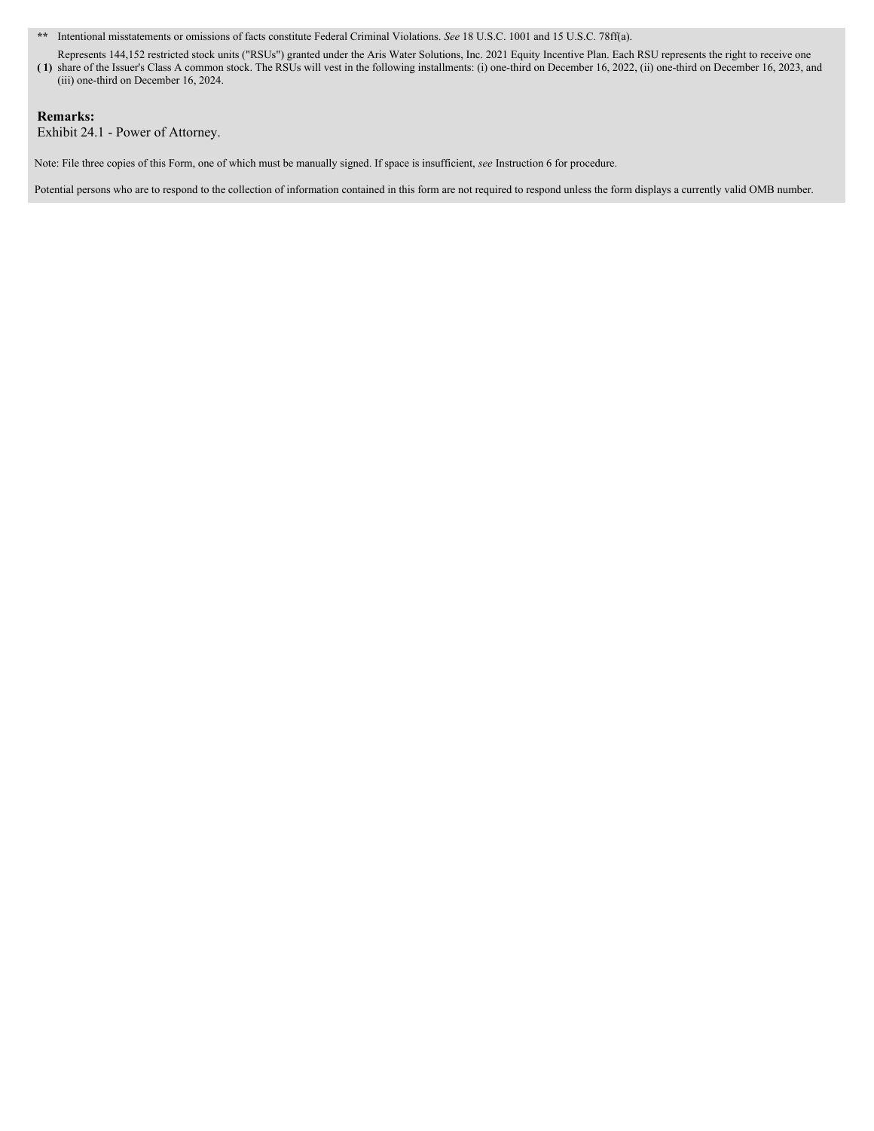**\*\*** Intentional misstatements or omissions of facts constitute Federal Criminal Violations. *See* 18 U.S.C. 1001 and 15 U.S.C. 78ff(a).

**( 1)** share of the Issuer's Class A common stock. The RSUs will vest in the following installments: (i) one-third on December 16, 2022, (ii) one-third on December 16, 2023, and Represents 144,152 restricted stock units ("RSUs") granted under the Aris Water Solutions, Inc. 2021 Equity Incentive Plan. Each RSU represents the right to receive one (iii) one-third on December 16, 2024.

### **Remarks:**

Exhibit 24.1 - Power of Attorney.

Note: File three copies of this Form, one of which must be manually signed. If space is insufficient, *see* Instruction 6 for procedure.

Potential persons who are to respond to the collection of information contained in this form are not required to respond unless the form displays a currently valid OMB number.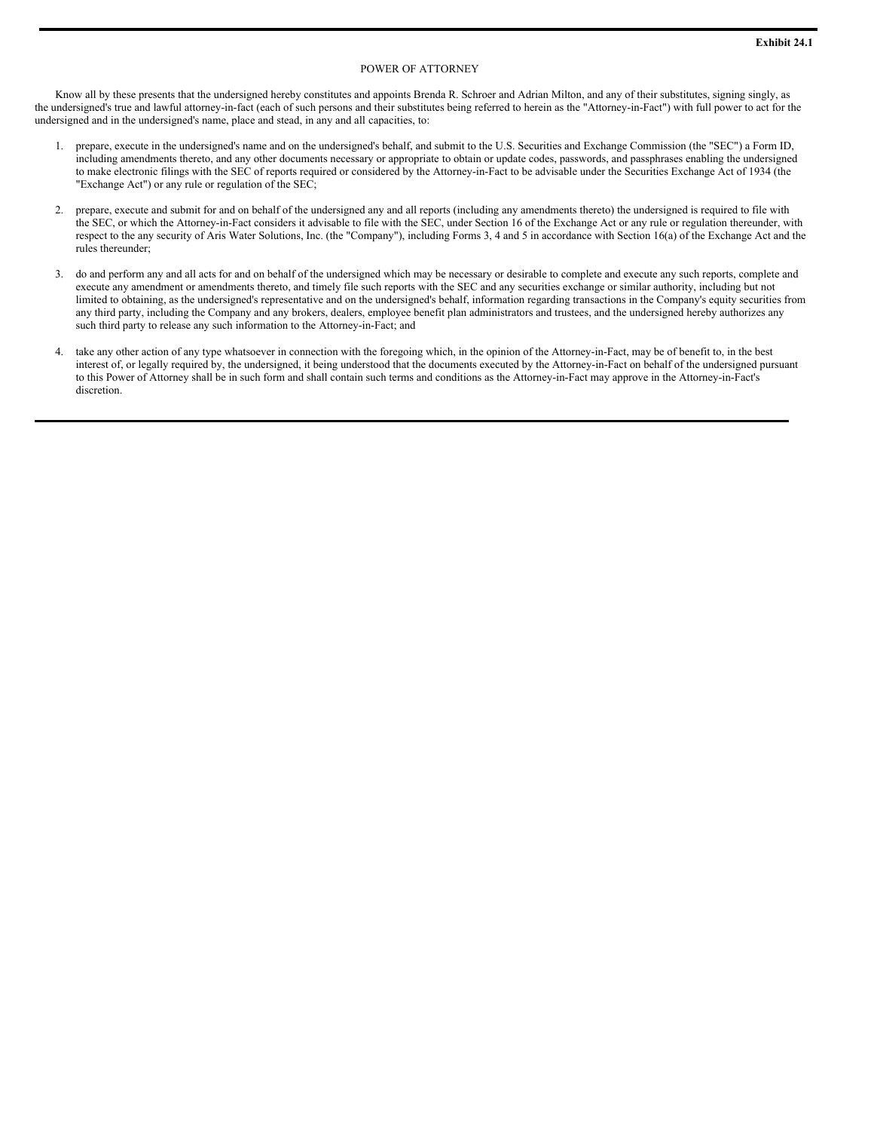#### POWER OF ATTORNEY

Know all by these presents that the undersigned hereby constitutes and appoints Brenda R. Schroer and Adrian Milton, and any of their substitutes, signing singly, as the undersigned's true and lawful attorney-in-fact (each of such persons and their substitutes being referred to herein as the "Attorney-in-Fact") with full power to act for the undersigned and in the undersigned's name, place and stead, in any and all capacities, to:

- 1. prepare, execute in the undersigned's name and on the undersigned's behalf, and submit to the U.S. Securities and Exchange Commission (the "SEC") a Form ID, including amendments thereto, and any other documents necessary or appropriate to obtain or update codes, passwords, and passphrases enabling the undersigned to make electronic filings with the SEC of reports required or considered by the Attorney-in-Fact to be advisable under the Securities Exchange Act of 1934 (the "Exchange Act") or any rule or regulation of the SEC;
- 2. prepare, execute and submit for and on behalf of the undersigned any and all reports (including any amendments thereto) the undersigned is required to file with the SEC, or which the Attorney-in-Fact considers it advisable to file with the SEC, under Section 16 of the Exchange Act or any rule or regulation thereunder, with respect to the any security of Aris Water Solutions, Inc. (the "Company"), including Forms 3, 4 and 5 in accordance with Section 16(a) of the Exchange Act and the rules thereunder;
- 3. do and perform any and all acts for and on behalf of the undersigned which may be necessary or desirable to complete and execute any such reports, complete and execute any amendment or amendments thereto, and timely file such reports with the SEC and any securities exchange or similar authority, including but not limited to obtaining, as the undersigned's representative and on the undersigned's behalf, information regarding transactions in the Company's equity securities from any third party, including the Company and any brokers, dealers, employee benefit plan administrators and trustees, and the undersigned hereby authorizes any such third party to release any such information to the Attorney-in-Fact; and
- 4. take any other action of any type whatsoever in connection with the foregoing which, in the opinion of the Attorney-in-Fact, may be of benefit to, in the best interest of, or legally required by, the undersigned, it being understood that the documents executed by the Attorney-in-Fact on behalf of the undersigned pursuant to this Power of Attorney shall be in such form and shall contain such terms and conditions as the Attorney-in-Fact may approve in the Attorney-in-Fact's discretion.